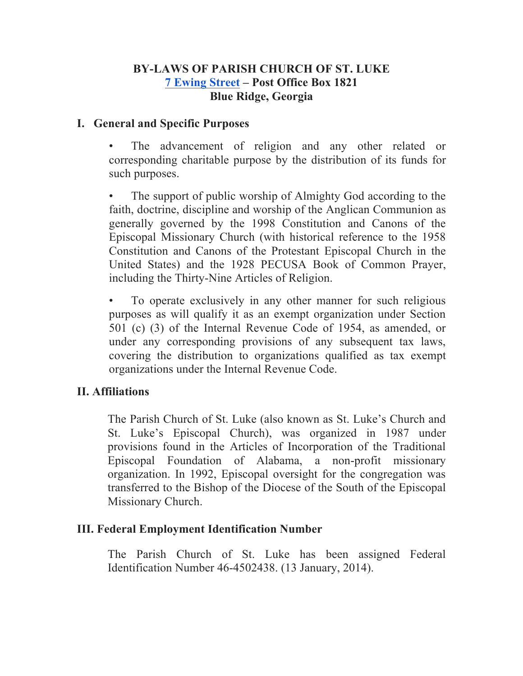### **BY-LAWS OF PARISH CHURCH OF ST. LUKE 7 Ewing Street – Post Office Box 1821 Blue Ridge, Georgia**

## **I. General and Specific Purposes**

The advancement of religion and any other related or corresponding charitable purpose by the distribution of its funds for such purposes.

The support of public worship of Almighty God according to the faith, doctrine, discipline and worship of the Anglican Communion as generally governed by the 1998 Constitution and Canons of the Episcopal Missionary Church (with historical reference to the 1958 Constitution and Canons of the Protestant Episcopal Church in the United States) and the 1928 PECUSA Book of Common Prayer, including the Thirty-Nine Articles of Religion.

To operate exclusively in any other manner for such religious purposes as will qualify it as an exempt organization under Section 501 (c) (3) of the Internal Revenue Code of 1954, as amended, or under any corresponding provisions of any subsequent tax laws, covering the distribution to organizations qualified as tax exempt organizations under the Internal Revenue Code.

## **II. Affiliations**

The Parish Church of St. Luke (also known as St. Luke's Church and St. Luke's Episcopal Church), was organized in 1987 under provisions found in the Articles of Incorporation of the Traditional Episcopal Foundation of Alabama, a non-profit missionary organization. In 1992, Episcopal oversight for the congregation was transferred to the Bishop of the Diocese of the South of the Episcopal Missionary Church.

### **III. Federal Employment Identification Number**

The Parish Church of St. Luke has been assigned Federal Identification Number 46-4502438. (13 January, 2014).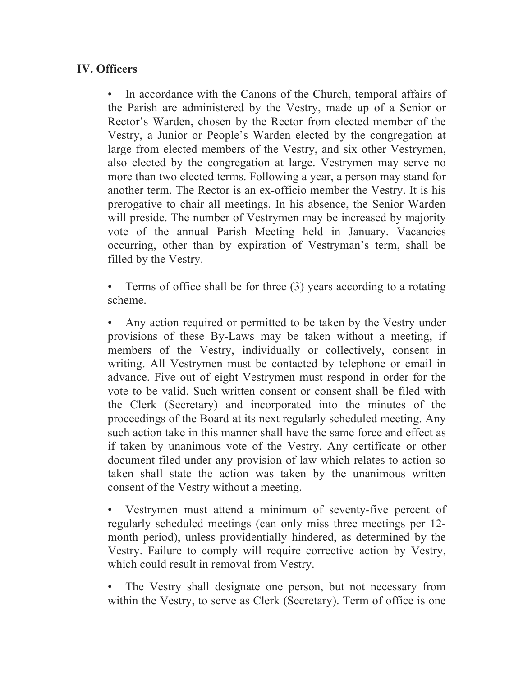# **IV. Officers**

• In accordance with the Canons of the Church, temporal affairs of the Parish are administered by the Vestry, made up of a Senior or Rector's Warden, chosen by the Rector from elected member of the Vestry, a Junior or People's Warden elected by the congregation at large from elected members of the Vestry, and six other Vestrymen, also elected by the congregation at large. Vestrymen may serve no more than two elected terms. Following a year, a person may stand for another term. The Rector is an ex-officio member the Vestry. It is his prerogative to chair all meetings. In his absence, the Senior Warden will preside. The number of Vestrymen may be increased by majority vote of the annual Parish Meeting held in January. Vacancies occurring, other than by expiration of Vestryman's term, shall be filled by the Vestry.

• Terms of office shall be for three (3) years according to a rotating scheme.

• Any action required or permitted to be taken by the Vestry under provisions of these By-Laws may be taken without a meeting, if members of the Vestry, individually or collectively, consent in writing. All Vestrymen must be contacted by telephone or email in advance. Five out of eight Vestrymen must respond in order for the vote to be valid. Such written consent or consent shall be filed with the Clerk (Secretary) and incorporated into the minutes of the proceedings of the Board at its next regularly scheduled meeting. Any such action take in this manner shall have the same force and effect as if taken by unanimous vote of the Vestry. Any certificate or other document filed under any provision of law which relates to action so taken shall state the action was taken by the unanimous written consent of the Vestry without a meeting.

Vestrymen must attend a minimum of seventy-five percent of regularly scheduled meetings (can only miss three meetings per 12 month period), unless providentially hindered, as determined by the Vestry. Failure to comply will require corrective action by Vestry, which could result in removal from Vestry.

The Vestry shall designate one person, but not necessary from within the Vestry, to serve as Clerk (Secretary). Term of office is one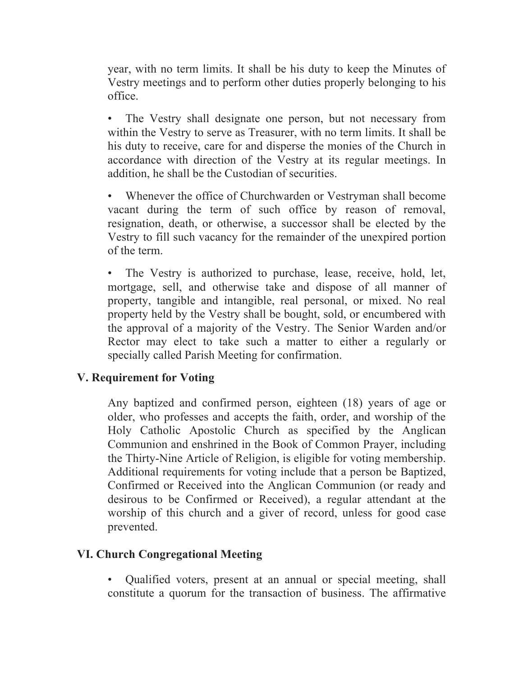year, with no term limits. It shall be his duty to keep the Minutes of Vestry meetings and to perform other duties properly belonging to his office.

• The Vestry shall designate one person, but not necessary from within the Vestry to serve as Treasurer, with no term limits. It shall be his duty to receive, care for and disperse the monies of the Church in accordance with direction of the Vestry at its regular meetings. In addition, he shall be the Custodian of securities.

Whenever the office of Churchwarden or Vestryman shall become vacant during the term of such office by reason of removal, resignation, death, or otherwise, a successor shall be elected by the Vestry to fill such vacancy for the remainder of the unexpired portion of the term.

The Vestry is authorized to purchase, lease, receive, hold, let, mortgage, sell, and otherwise take and dispose of all manner of property, tangible and intangible, real personal, or mixed. No real property held by the Vestry shall be bought, sold, or encumbered with the approval of a majority of the Vestry. The Senior Warden and/or Rector may elect to take such a matter to either a regularly or specially called Parish Meeting for confirmation.

## **V. Requirement for Voting**

Any baptized and confirmed person, eighteen (18) years of age or older, who professes and accepts the faith, order, and worship of the Holy Catholic Apostolic Church as specified by the Anglican Communion and enshrined in the Book of Common Prayer, including the Thirty-Nine Article of Religion, is eligible for voting membership. Additional requirements for voting include that a person be Baptized, Confirmed or Received into the Anglican Communion (or ready and desirous to be Confirmed or Received), a regular attendant at the worship of this church and a giver of record, unless for good case prevented.

## **VI. Church Congregational Meeting**

• Qualified voters, present at an annual or special meeting, shall constitute a quorum for the transaction of business. The affirmative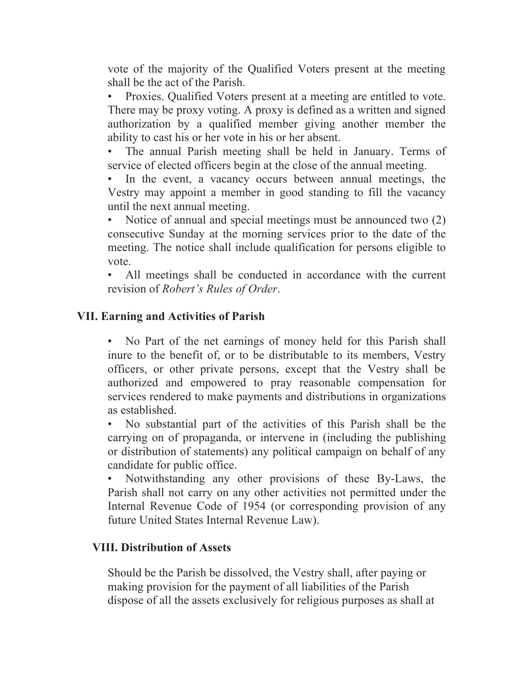vote of the majority of the Qualified Voters present at the meeting shall be the act of the Parish.

• Proxies. Qualified Voters present at a meeting are entitled to vote. There may be proxy voting. A proxy is defined as a written and signed authorization by a qualified member giving another member the ability to cast his or her vote in his or her absent.

The annual Parish meeting shall be held in January. Terms of service of elected officers begin at the close of the annual meeting.

In the event, a vacancy occurs between annual meetings, the Vestry may appoint a member in good standing to fill the vacancy until the next annual meeting.

• Notice of annual and special meetings must be announced two  $(2)$ consecutive Sunday at the morning services prior to the date of the meeting. The notice shall include qualification for persons eligible to vote.

All meetings shall be conducted in accordance with the current revision of *Robert's Rules of Order*.

## **VII. Earning and Activities of Parish**

• No Part of the net earnings of money held for this Parish shall inure to the benefit of, or to be distributable to its members, Vestry officers, or other private persons, except that the Vestry shall be authorized and empowered to pray reasonable compensation for services rendered to make payments and distributions in organizations as established.

• No substantial part of the activities of this Parish shall be the carrying on of propaganda, or intervene in (including the publishing or distribution of statements) any political campaign on behalf of any candidate for public office.

• Notwithstanding any other provisions of these By-Laws, the Parish shall not carry on any other activities not permitted under the Internal Revenue Code of 1954 (or corresponding provision of any future United States Internal Revenue Law).

### **VIII. Distribution of Assets**

Should be the Parish be dissolved, the Vestry shall, after paying or making provision for the payment of all liabilities of the Parish dispose of all the assets exclusively for religious purposes as shall at